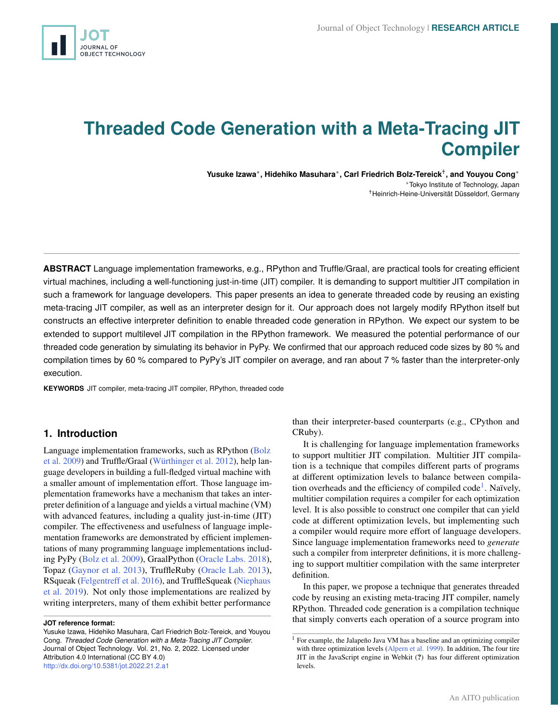<span id="page-0-0"></span>

# **Threaded Code Generation with a Meta-Tracing JIT Compiler**

**Yusuke Izawa**<sup>∗</sup> **, Hidehiko Masuhara**<sup>∗</sup> **, Carl Friedrich Bolz-Tereick**† **, and Youyou Cong**<sup>∗</sup> <sup>∗</sup>Tokyo Institute of Technology, Japan †Heinrich-Heine-Universität Düsseldorf, Germany

**ABSTRACT** Language implementation frameworks, e.g., RPython and Truffle/Graal, are practical tools for creating efficient virtual machines, including a well-functioning just-in-time (JIT) compiler. It is demanding to support multitier JIT compilation in such a framework for language developers. This paper presents an idea to generate threaded code by reusing an existing meta-tracing JIT compiler, as well as an interpreter design for it. Our approach does not largely modify RPython itself but constructs an effective interpreter definition to enable threaded code generation in RPython. We expect our system to be extended to support multilevel JIT compilation in the RPython framework. We measured the potential performance of our threaded code generation by simulating its behavior in PyPy. We confirmed that our approach reduced code sizes by 80 % and compilation times by 60 % compared to PyPy's JIT compiler on average, and ran about 7 % faster than the interpreter-only execution.

**KEYWORDS** JIT compiler, meta-tracing JIT compiler, RPython, threaded code

## **1. Introduction**

Language implementation frameworks, such as RPython [\(Bolz](#page-9-0) [et al.](#page-9-0) [2009\)](#page-9-0) and Truffle/Graal [\(Würthinger et al.](#page-10-0) [2012\)](#page-10-0), help language developers in building a full-fledged virtual machine with a smaller amount of implementation effort. Those language implementation frameworks have a mechanism that takes an interpreter definition of a language and yields a virtual machine (VM) with advanced features, including a quality just-in-time (JIT) compiler. The effectiveness and usefulness of language implementation frameworks are demonstrated by efficient implementations of many programming language implementations including PyPy [\(Bolz et al.](#page-9-0) [2009\)](#page-9-0), GraalPython [\(Oracle Labs.](#page-10-1) [2018\)](#page-10-1), Topaz [\(Gaynor et al.](#page-9-1) [2013\)](#page-9-1), TruffleRuby [\(Oracle Lab.](#page-10-2) [2013\)](#page-10-2), RSqueak [\(Felgentreff et al.](#page-9-2) [2016\)](#page-9-2), and TruffleSqueak [\(Niephaus](#page-10-3) [et al.](#page-10-3) [2019\)](#page-10-3). Not only those implementations are realized by writing interpreters, many of them exhibit better performance

Yusuke Izawa, Hidehiko Masuhara, Carl Friedrich Bolz-Tereick, and Youyou Cong. *Threaded Code Generation with a Meta-Tracing JIT Compiler*. Journal of Object Technology. Vol. 21, No. 2, 2022. Licensed under Attribution 4.0 International (CC BY 4.0) <http://dx.doi.org/10.5381/jot.2022.21.2.a1>

than their interpreter-based counterparts (e.g., CPython and CRuby).

It is challenging for language implementation frameworks to support multitier JIT compilation. Multitier JIT compilation is a technique that compiles different parts of programs at different optimization levels to balance between compilation overheads and the efficiency of compiled code<sup>1</sup>. Naïvely, multitier compilation requires a compiler for each optimization level. It is also possible to construct one compiler that can yield code at different optimization levels, but implementing such a compiler would require more effort of language developers. Since language implementation frameworks need to *generate* such a compiler from interpreter definitions, it is more challenging to support multitier compilation with the same interpreter definition.

In this paper, we propose a technique that generates threaded code by reusing an existing meta-tracing JIT compiler, namely RPython. Threaded code generation is a compilation technique that simply converts each operation of a source program into

**JOT reference format:**

<sup>&</sup>lt;sup>1</sup> For example, the Jalapeño Java VM has a baseline and an optimizing compiler with three optimization levels [\(Alpern et al.](#page-9-3) [1999\)](#page-9-3). In addition, The four tire JIT in the JavaScript engine in Webkit (?) has four different optimization levels.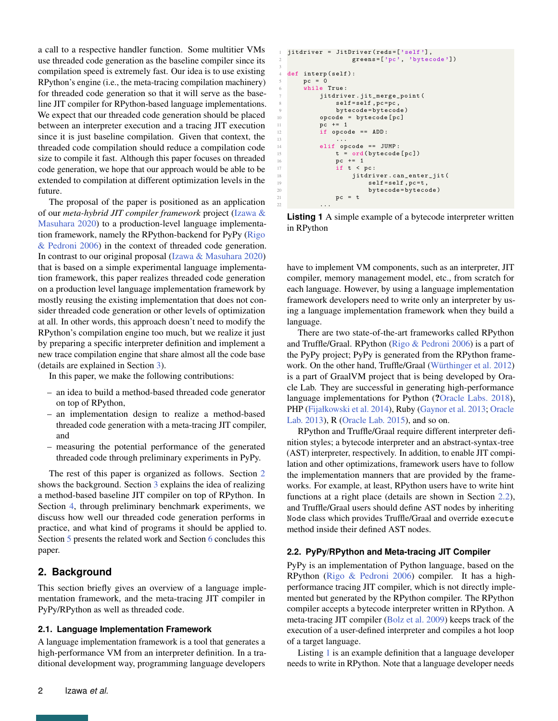a call to a respective handler function. Some multitier VMs use threaded code generation as the baseline compiler since its compilation speed is extremely fast. Our idea is to use existing RPython's engine (i.e., the meta-tracing compilation machinery) for threaded code generation so that it will serve as the baseline JIT compiler for RPython-based language implementations. We expect that our threaded code generation should be placed between an interpreter execution and a tracing JIT execution since it is just baseline compilation. Given that context, the threaded code compilation should reduce a compilation code size to compile it fast. Although this paper focuses on threaded code generation, we hope that our approach would be able to be extended to compilation at different optimization levels in the future.

The proposal of the paper is positioned as an application of our *meta-hybrid JIT compiler framework* project [\(Izawa &](#page-9-4) [Masuhara](#page-9-4) [2020\)](#page-9-4) to a production-level language implementation framework, namely the RPython-backend for PyPy [\(Rigo](#page-10-4) [& Pedroni](#page-10-4) [2006\)](#page-10-4) in the context of threaded code generation. In contrast to our original proposal [\(Izawa & Masuhara](#page-9-4) [2020\)](#page-9-4) that is based on a simple experimental language implementation framework, this paper realizes threaded code generation on a production level language implementation framework by mostly reusing the existing implementation that does not consider threaded code generation or other levels of optimization at all. In other words, this approach doesn't need to modify the RPython's compilation engine too much, but we realize it just by preparing a specific interpreter definition and implement a new trace compilation engine that share almost all the code base (details are explained in Section [3\)](#page-2-0).

In this paper, we make the following contributions:

- an idea to build a method-based threaded code generator on top of RPython,
- an implementation design to realize a method-based threaded code generation with a meta-tracing JIT compiler, and
- measuring the potential performance of the generated threaded code through preliminary experiments in PyPy.

The rest of this paper is organized as follows. Section [2](#page-1-0) shows the background. Section [3](#page-2-0) explains the idea of realizing a method-based baseline JIT compiler on top of RPython. In Section [4,](#page-5-0) through preliminary benchmark experiments, we discuss how well our threaded code generation performs in practice, and what kind of programs it should be applied to. Section [5](#page-7-0) presents the related work and Section [6](#page-9-5) concludes this paper.

# <span id="page-1-0"></span>**2. Background**

This section briefly gives an overview of a language implementation framework, and the meta-tracing JIT compiler in PyPy/RPython as well as threaded code.

## **2.1. Language Implementation Framework**

A language implementation framework is a tool that generates a high-performance VM from an interpreter definition. In a traditional development way, programming language developers

```
jitdriver = JitDriver (reds=['self'],
                  greens=['pc', 'bytecode'])
3
  def interp (self):
      pc = 0while True:
          jitdriver.jit_merge_point (
              self=self, pc=pc,
               bytecode=bytecode)
          10 opcode = bytecode [ pc ]
          pc += 112 if opcode == ADD:
13 \cdot \cdot \cdot14 elif opcode == JUMP:<br>15 t = ord(bvtecode)t = ord(bytecode [pc])
16 pc += 1<br>17 if t < rif t < pc:
18 jitdriver.can_enter_jit (
                      self = self , pc = t,
                      bytecode=bytecode)
21 pc = t
```
**Listing 1** A simple example of a bytecode interpreter written in RPython

22  $\cdots$ 

have to implement VM components, such as an interpreter, JIT compiler, memory management model, etc., from scratch for each language. However, by using a language implementation framework developers need to write only an interpreter by using a language implementation framework when they build a language.

There are two state-of-the-art frameworks called RPython and Truffle/Graal. RPython [\(Rigo & Pedroni](#page-10-4) [2006\)](#page-10-4) is a part of the PyPy project; PyPy is generated from the RPython framework. On the other hand, Truffle/Graal [\(Würthinger et al.](#page-10-0) [2012\)](#page-10-0) is a part of GraalVM project that is being developed by Oracle Lab. They are successful in generating high-performance language implementations for Python (?[Oracle Labs.](#page-10-1) [2018\)](#page-10-1), PHP [\(Fijałkowski et al.](#page-9-6) [2014\)](#page-9-6), Ruby [\(Gaynor et al.](#page-9-1) [2013;](#page-9-1) [Oracle](#page-10-2) [Lab.](#page-10-2) [2013\)](#page-10-2), R [\(Oracle Lab.](#page-10-5) [2015\)](#page-10-5), and so on.

RPython and Truffle/Graal require different interpreter definition styles; a bytecode interpreter and an abstract-syntax-tree (AST) interpreter, respectively. In addition, to enable JIT compilation and other optimizations, framework users have to follow the implementation manners that are provided by the frameworks. For example, at least, RPython users have to write hint functions at a right place (details are shown in Section [2.2\)](#page-1-1), and Truffle/Graal users should define AST nodes by inheriting Node class which provides Truffle/Graal and override execute method inside their defined AST nodes.

## <span id="page-1-1"></span>**2.2. PyPy/RPython and Meta-tracing JIT Compiler**

PyPy is an implementation of Python language, based on the RPython [\(Rigo & Pedroni](#page-10-4) [2006\)](#page-10-4) compiler. It has a highperformance tracing JIT compiler, which is not directly implemented but generated by the RPython compiler. The RPython compiler accepts a bytecode interpreter written in RPython. A meta-tracing JIT compiler [\(Bolz et al.](#page-9-0) [2009\)](#page-9-0) keeps track of the execution of a user-defined interpreter and compiles a hot loop of a target language.

Listing [1](#page-1-2) is an example definition that a language developer needs to write in RPython. Note that a language developer needs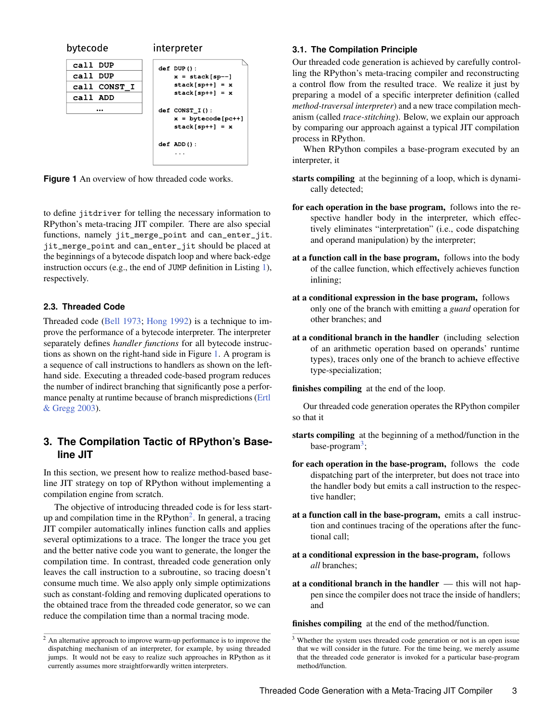<span id="page-2-1"></span>

**Figure 1** An overview of how threaded code works.

to define jitdriver for telling the necessary information to RPython's meta-tracing JIT compiler. There are also special functions, namely jit\_merge\_point and can\_enter\_jit. jit\_merge\_point and can\_enter\_jit should be placed at the beginnings of a bytecode dispatch loop and where back-edge instruction occurs (e.g., the end of JUMP definition in Listing [1\)](#page-1-2), respectively.

#### **2.3. Threaded Code**

Threaded code [\(Bell](#page-9-7) [1973;](#page-9-7) [Hong](#page-9-8) [1992\)](#page-9-8) is a technique to improve the performance of a bytecode interpreter. The interpreter separately defines *handler functions* for all bytecode instructions as shown on the right-hand side in Figure [1.](#page-2-1) A program is a sequence of call instructions to handlers as shown on the lefthand side. Executing a threaded code-based program reduces the number of indirect branching that significantly pose a performance penalty at runtime because of branch mispredictions [\(Ertl](#page-9-9) [& Gregg](#page-9-9) [2003\)](#page-9-9).

# <span id="page-2-0"></span>**3. The Compilation Tactic of RPython's Baseline JIT**

In this section, we present how to realize method-based baseline JIT strategy on top of RPython without implementing a compilation engine from scratch.

The objective of introducing threaded code is for less startup and compilation time in the  $RP$ ython<sup>[2](#page-0-0)</sup>. In general, a tracing JIT compiler automatically inlines function calls and applies several optimizations to a trace. The longer the trace you get and the better native code you want to generate, the longer the compilation time. In contrast, threaded code generation only leaves the call instruction to a subroutine, so tracing doesn't consume much time. We also apply only simple optimizations such as constant-folding and removing duplicated operations to the obtained trace from the threaded code generator, so we can reduce the compilation time than a normal tracing mode.

#### **3.1. The Compilation Principle**

Our threaded code generation is achieved by carefully controlling the RPython's meta-tracing compiler and reconstructing a control flow from the resulted trace. We realize it just by preparing a model of a specific interpreter definition (called *method-traversal interpreter*) and a new trace compilation mechanism (called *trace-stitching*). Below, we explain our approach by comparing our approach against a typical JIT compilation process in RPython.

When RPython compiles a base-program executed by an interpreter, it

- starts compiling at the beginning of a loop, which is dynamically detected;
- for each operation in the base program, follows into the respective handler body in the interpreter, which effectively eliminates "interpretation" (i.e., code dispatching and operand manipulation) by the interpreter;
- at a function call in the base program, follows into the body of the callee function, which effectively achieves function inlining;
- at a conditional expression in the base program, follows only one of the branch with emitting a *guard* operation for other branches; and
- at a conditional branch in the handler (including selection of an arithmetic operation based on operands' runtime types), traces only one of the branch to achieve effective type-specialization;

#### finishes compiling at the end of the loop.

Our threaded code generation operates the RPython compiler so that it

- starts compiling at the beginning of a method/function in the base-program<sup>[3](#page-0-0)</sup>;
- for each operation in the base-program, follows the code dispatching part of the interpreter, but does not trace into the handler body but emits a call instruction to the respective handler;
- at a function call in the base-program, emits a call instruction and continues tracing of the operations after the functional call;
- at a conditional expression in the base-program, follows *all* branches;
- at a conditional branch in the handler  $-$  this will not happen since the compiler does not trace the inside of handlers; and

finishes compiling at the end of the method/function.

<sup>2</sup> An alternative approach to improve warm-up performance is to improve the dispatching mechanism of an interpreter, for example, by using threaded jumps. It would not be easy to realize such approaches in RPython as it currently assumes more straightforwardly written interpreters.

<sup>&</sup>lt;sup>3</sup> Whether the system uses threaded code generation or not is an open issue that we will consider in the future. For the time being, we merely assume that the threaded code generator is invoked for a particular base-program method/function.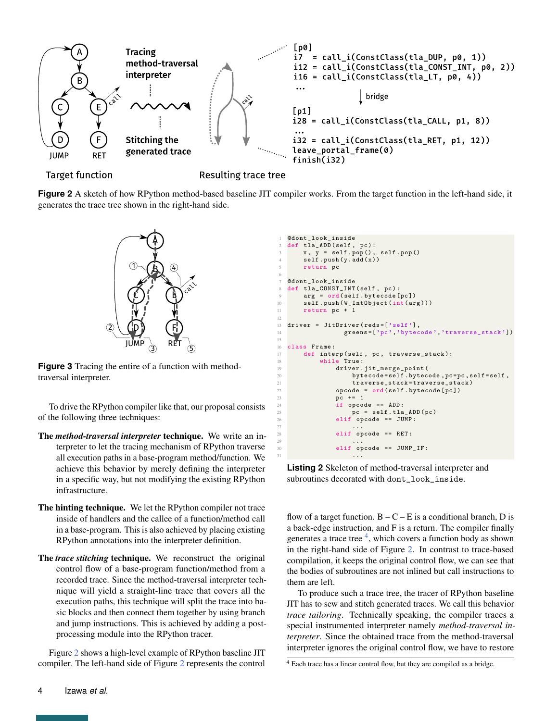<span id="page-3-0"></span>

<span id="page-3-1"></span>**Figure 2** A sketch of how RPython method-based baseline JIT compiler works. From the target function in the left-hand side, it generates the trace tree shown in the right-hand side.



**Figure 3** Tracing the entire of a function with methodtraversal interpreter.

To drive the RPython compiler like that, our proposal consists of the following three techniques:

- The *method-traversal interpreter* technique. We write an interpreter to let the tracing mechanism of RPython traverse all execution paths in a base-program method/function. We achieve this behavior by merely defining the interpreter in a specific way, but not modifying the existing RPython infrastructure.
- The hinting technique. We let the RPython compiler not trace inside of handlers and the callee of a function/method call in a base-program. This is also achieved by placing existing RPython annotations into the interpreter definition.
- The *trace stitching* technique. We reconstruct the original control flow of a base-program function/method from a recorded trace. Since the method-traversal interpreter technique will yield a straight-line trace that covers all the execution paths, this technique will split the trace into basic blocks and then connect them together by using branch and jump instructions. This is achieved by adding a postprocessing module into the RPython tracer.

Figure [2](#page-3-0) shows a high-level example of RPython baseline JIT compiler. The left-hand side of Figure [2](#page-3-0) represents the control

```
@dont_look_inside
  def tla_ADD (self, pc):
      x, y = self.pop(), self.pop()
      self. push(y.add(x))return pc
6
7 @dont_look_inside
8 def tla_CONST_INT(self, pc):<br>9 arg = ord(self.bytecode[pc])
10 self.push (W_IntObject (int(arg)))
11 return pc + 1
12
13 driver = JitDriver (reds=['self'],
14 greens = ['pc','bytecode','traverse_stack'])
15
16 class Frame:<br>17 def inte
      def interp ( self, pc, traverse_stack ):
18 while True:
19 driver . jit_merge_point (
20 bytecode = self . bytecode , pc =pc , self = self ,
21 traverse_stack=traverse_stack)<br>22 opcode = ord(self.bvtecode[pc])
              opcode = ord(self.bytecode[pc])23 pc += 1
24 if opcode == ADD :
pc = self.tla_{ADD}(pc)26 elif opcode == JUMP :
27 \ldots28 elif opcode == RET:
29 \cdotselif opcode == JUMP_IF:
31 ...
```
**Listing 2** Skeleton of method-traversal interpreter and subroutines decorated with dont\_look\_inside.

flow of a target function.  $B - C - E$  is a conditional branch, D is a back-edge instruction, and F is a return. The compiler finally generates a trace tree  $4$ , which covers a function body as shown in the right-hand side of Figure [2.](#page-3-0) In contrast to trace-based compilation, it keeps the original control flow, we can see that the bodies of subroutines are not inlined but call instructions to them are left.

To produce such a trace tree, the tracer of RPython baseline JIT has to sew and stitch generated traces. We call this behavior *trace tailoring*. Technically speaking, the compiler traces a special instrumented interpreter namely *method-traversal interpreter*. Since the obtained trace from the method-traversal interpreter ignores the original control flow, we have to restore

<sup>&</sup>lt;sup>4</sup> Each trace has a linear control flow, but they are compiled as a bridge.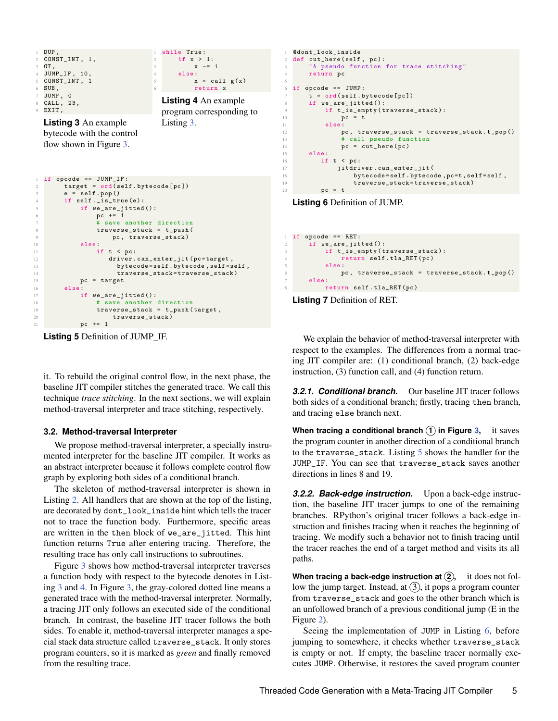<span id="page-4-0"></span>

<span id="page-4-2"></span>

| $\mathbf{1}$   | if opcode == $JUMP_I$ :            |
|----------------|------------------------------------|
| 2              | $target = ord(self.bytecode[pc])$  |
| 3              | $e = self.pop()$                   |
| $\overline{4}$ | if $self._i s _true(e):$           |
| 5              | if $we_ are_jitted()$ :            |
| 6              | $pc$ += 1                          |
| 7              | # save another direction           |
| 8              | $traverse\_stack = t\_push($       |
| Q              | pc, traverse_stack)                |
| 10             | else:                              |
| 11             | if $t < pc$ :                      |
| 12             | driver.can_enter_jit(pc=target,    |
| 13             | bytecode=self.bytecode, self=self, |
| 14             | traverse_stack=traverse_stack)     |
| 15             | $pc = target$                      |
| 16             | else:                              |
| 17             | if we_are_jitted():                |
| 18             | # save another direction           |
| 19             | $traverse_stack = t_push(target,$  |
| 20             | traverse_stack)                    |
| 21             | $pc$ += 1                          |

**Listing 5** Definition of JUMP\_IF.

it. To rebuild the original control flow, in the next phase, the baseline JIT compiler stitches the generated trace. We call this technique *trace stitching*. In the next sections, we will explain method-traversal interpreter and trace stitching, respectively.

#### **3.2. Method-traversal Interpreter**

We propose method-traversal interpreter, a specially instrumented interpreter for the baseline JIT compiler. It works as an abstract interpreter because it follows complete control flow graph by exploring both sides of a conditional branch.

The skeleton of method-traversal interpreter is shown in Listing [2.](#page-3-2) All handlers that are shown at the top of the listing, are decorated by dont\_look\_inside hint which tells the tracer not to trace the function body. Furthermore, specific areas are written in the then block of we\_are\_jitted. This hint function returns True after entering tracing. Therefore, the resulting trace has only call instructions to subroutines.

Figure [3](#page-3-1) shows how method-traversal interpreter traverses a function body with respect to the bytecode denotes in Listing [3](#page-4-0) and [4.](#page-4-1) In Figure [3,](#page-3-1) the gray-colored dotted line means a generated trace with the method-traversal interpreter. Normally, a tracing JIT only follows an executed side of the conditional branch. In contrast, the baseline JIT tracer follows the both sides. To enable it, method-traversal interpreter manages a special stack data structure called traverse\_stack. It only stores program counters, so it is marked as *green* and finally removed from the resulting trace.

```
1 @dont_look_inside
2 def cut_here ( self , pc ):
3 "A pseudo function for trace stitching "
        return pc
 5
   if opcode == JUMP :
        t = ord(self.bytecode[pc])if ve_ = are_jitted():
             if t_is_empty(traverse_stack):
10 pc = t<br>11 else:
             else :
12 pc, traverse_stack = traverse_stack.t_pop()<br>
\# call pseudo function
13 \# call pseudo function<br>
p c = cut_{\text{here}}(pc)14 pc = cut_here (pc)<br>15 else:
        else :
\begin{array}{ccccc}\n 16 & & \text{if } t < pc: \\
 17 & & \text{if } \text{tdri}\n \end{array}jitdriver.can_enter_jit (
18 bytecode=self.bytecode, pc=t, self=self,<br>19 traverse_stack=traverse_stack)
                       traverse_stack=traverse_stack)
20 pc = t
```
**Listing 6** Definition of JUMP.

<span id="page-4-4"></span>



We explain the behavior of method-traversal interpreter with respect to the examples. The differences from a normal tracing JIT compiler are: (1) conditional branch, (2) back-edge instruction, (3) function call, and (4) function return.

**3.2.1. Conditional branch.** Our baseline JIT tracer follows both sides of a conditional branch; firstly, tracing then branch, and tracing else branch next.

**When tracing a conditional branch**  $(1)$  in Figure [3,](#page-3-1) it saves the program counter in another direction of a conditional branch to the traverse\_stack. Listing [5](#page-4-2) shows the handler for the JUMP\_IF. You can see that traverse\_stack saves another directions in lines 8 and 19.

*3.2.2. Back-edge instruction.* Upon a back-edge instruction, the baseline JIT tracer jumps to one of the remaining branches. RPython's original tracer follows a back-edge instruction and finishes tracing when it reaches the beginning of tracing. We modify such a behavior not to finish tracing until the tracer reaches the end of a target method and visits its all paths.

**When tracing a back-edge instruction at (2),** it does not follow the jump target. Instead, at  $(3)$ , it pops a program counter from traverse\_stack and goes to the other branch which is an unfollowed branch of a previous conditional jump (E in the Figure [2\)](#page-3-0).

Seeing the implementation of JUMP in Listing [6,](#page-4-3) before jumping to somewhere, it checks whether traverse\_stack is empty or not. If empty, the baseline tracer normally executes JUMP. Otherwise, it restores the saved program counter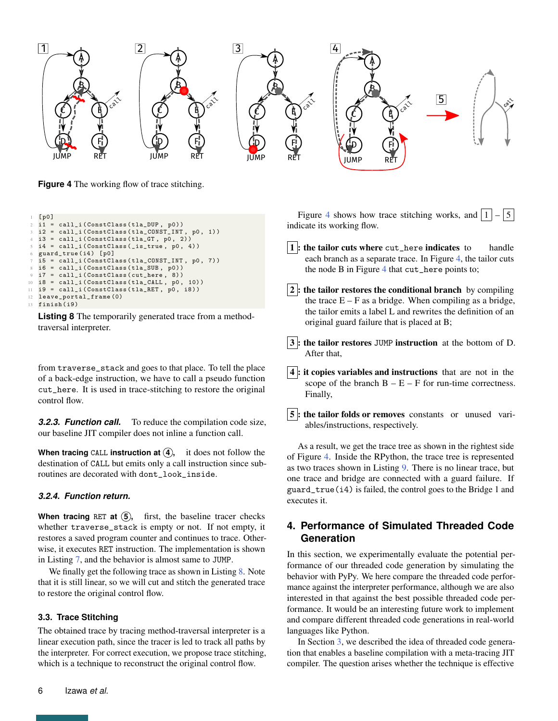<span id="page-5-2"></span>

**Figure 4** The working flow of trace stitching.

```
[ p0 ]
2 i1 = call_i(ConstClass(tla_DUP, p0))
  i2 = call_i (ConstClass ( tla_CONST_INT, p0, 1) )i3 = call_i (ConstClass ( tla_GT, p0, 2) )i4 = \text{call}_i (ConstClass(\text{is\_true}, p0, 4))guard_true (i4) [p0]
  i5 = call_i (ConstClass ( tla_CONST_INT, p0, 7) )i6 = call_i ( ConstClass (tla_SUB, p0))
  i7 = call_i (ConstClass (cut_{here} , 8))10 i8 = call_i(ConstClass(tla_CALL, p0, 10))<br>11 i9 = call i(ConstClass(tla RET, p0, i8))
  i9 = call_i (ConstClass ( tla_RET, p0, i8) )12 leave_portal_frame (0)
13 finish (i9)
```
**Listing 8** The temporarily generated trace from a methodtraversal interpreter.

from traverse\_stack and goes to that place. To tell the place of a back-edge instruction, we have to call a pseudo function cut\_here. It is used in trace-stitching to restore the original control flow.

**3.2.3. Function call.** To reduce the compilation code size, our baseline JIT compiler does not inline a function call.

**When tracing** CALL **instruction at**  $\overline{4}$ , it does not follow the destination of CALL but emits only a call instruction since subroutines are decorated with dont\_look\_inside.

#### *3.2.4. Function return.*

**When tracing** RET **at 5 ,** first, the baseline tracer checks whether traverse\_stack is empty or not. If not empty, it restores a saved program counter and continues to trace. Otherwise, it executes RET instruction. The implementation is shown in Listing [7,](#page-4-4) and the behavior is almost same to JUMP.

We finally get the following trace as shown in Listing [8.](#page-5-1) Note that it is still linear, so we will cut and stitch the generated trace to restore the original control flow.

#### **3.3. Trace Stitching**

The obtained trace by tracing method-traversal interpreter is a linear execution path, since the tracer is led to track all paths by the interpreter. For correct execution, we propose trace stitching, which is a technique to reconstruct the original control flow.

Figure [4](#page-5-2) shows how trace stitching works, and  $|1| - |5|$ indicate its working flow.  $\vert 1 \vert$ : the tailor cuts where cut\_here indicates to handle each branch as a separate trace. In Figure [4,](#page-5-2) the tailor cuts the node B in Figure [4](#page-5-2) that cut\_here points to;  $|2|$ : the tailor restores the conditional branch by compiling the trace  $E - F$  as a bridge. When compiling as a bridge, the tailor emits a label L and rewrites the definition of an original guard failure that is placed at B; 3 : the tailor restores JUMP instruction at the bottom of D.

4 : it copies variables and instructions that are not in the scope of the branch  $B - E - F$  for run-time correctness. Finally,

After that,

**5**: the tailor folds or removes constants or unused variables/instructions, respectively.

As a result, we get the trace tree as shown in the rightest side of Figure [4.](#page-5-2) Inside the RPython, the trace tree is represented as two traces shown in Listing [9.](#page-6-0) There is no linear trace, but one trace and bridge are connected with a guard failure. If guard\_true(i4) is failed, the control goes to the Bridge 1 and executes it.

# <span id="page-5-0"></span>**4. Performance of Simulated Threaded Code Generation**

In this section, we experimentally evaluate the potential performance of our threaded code generation by simulating the behavior with PyPy. We here compare the threaded code performance against the interpreter performance, although we are also interested in that against the best possible threaded code performance. It would be an interesting future work to implement and compare different threaded code generations in real-world languages like Python.

In Section [3,](#page-2-0) we described the idea of threaded code generation that enables a baseline compilation with a meta-tracing JIT compiler. The question arises whether the technique is effective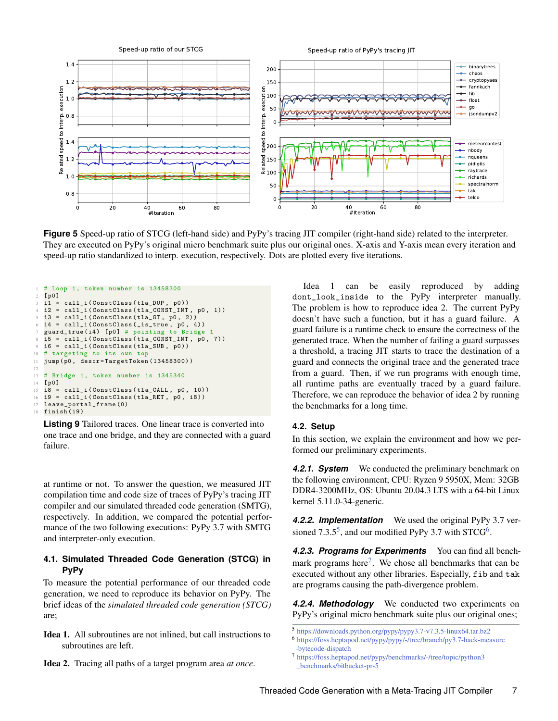<span id="page-6-2"></span>

**Figure 5** Speed-up ratio of STCG (left-hand side) and PyPy's tracing JIT compiler (right-hand side) related to the interpreter. They are executed on PyPy's original micro benchmark suite plus our original ones. X-axis and Y-axis mean every iteration and speed-up ratio standardized to interp. execution, respectively. Dots are plotted every five iterations.

```
\frac{1 \text{ # Loop 1, token number is } 13458300}{1001}[ p0 ]
 3 i1 = call_i(ConstClass(tla_DUP, p0))<br>4 i2 = call i(ConstClass(tla CONST INT
   i2 = \text{call}_i (ConstClass ( tla_CONSTINT, p0, 1) )5 i3 = call_i (ConstClass (tla_GT, p0, 2))i4 = \text{call}_i \left( \text{ConstClass} \left( \begin{matrix} 1 & 0 \\ 0 & 1 \end{matrix} \right) \right)guard_true (i4) [p0] # pointing to Bridge 1
 8\, i5 = call_i (ConstClass (tla_CONST_INT, p0, 7))
9 i6 = call_i ( ConstClass ( tla_SUB , p0 ))
10 # targeting to its own top
11 jump (p0 , descr = TargetToken (13458300) )
12
13 # Bridge 1, token number is 1345340
14 [ p0 ]
15 \text{ i}8 = \text{call}_i \left( \text{ConstClass} \left( \text{tla}_{\text{L}} \text{CALL}, p0, 10 \right) \right)16 i9 = call_i (ConstClass (tla_RET, p0, i8))<br>17 leave portal frame (0)
   leave_portal_frame (0)
18 finish (i9)
```
**Listing 9** Tailored traces. One linear trace is converted into one trace and one bridge, and they are connected with a guard failure.

at runtime or not. To answer the question, we measured JIT compilation time and code size of traces of PyPy's tracing JIT compiler and our simulated threaded code generation (SMTG), respectively. In addition, we compared the potential performance of the two following executions: PyPy 3.7 with SMTG and interpreter-only execution.

## <span id="page-6-1"></span>**4.1. Simulated Threaded Code Generation (STCG) in PyPy**

To measure the potential performance of our threaded code generation, we need to reproduce its behavior on PyPy. The brief ideas of the *simulated threaded code generation (STCG)* are;

Idea 1. All subroutines are not inlined, but call instructions to subroutines are left.

Idea 1 can be easily reproduced by adding dont\_look\_inside to the PyPy interpreter manually. The problem is how to reproduce idea 2. The current PyPy doesn't have such a function, but it has a guard failure. A guard failure is a runtime check to ensure the correctness of the generated trace. When the number of failing a guard surpasses a threshold, a tracing JIT starts to trace the destination of a guard and connects the original trace and the generated trace from a guard. Then, if we run programs with enough time, all runtime paths are eventually traced by a guard failure. Therefore, we can reproduce the behavior of idea 2 by running the benchmarks for a long time.

## **4.2. Setup**

In this section, we explain the environment and how we performed our preliminary experiments.

*4.2.1. System* We conducted the preliminary benchmark on the following environment; CPU: Ryzen 9 5950X, Mem: 32GB DDR4-3200MHz, OS: Ubuntu 20.04.3 LTS with a 64-bit Linux kernel 5.11.0-34-generic.

*4.2.2. Implementation* We used the original PyPy 3.7 versioned  $7.3.5^5$  $7.3.5^5$  $7.3.5^5$ , and our modified PyPy 3.7 with STCG<sup>[6](#page-0-0)</sup>.

*4.2.3. Programs for Experiments* You can find all bench-mark programs here<sup>[7](#page-0-0)</sup>. We chose all benchmarks that can be executed without any other libraries. Especially, fib and tak are programs causing the path-divergence problem.

*4.2.4. Methodology* We conducted two experiments on PyPy's original micro benchmark suite plus our original ones;

Idea 2. Tracing all paths of a target program area *at once*.

<sup>5</sup> <https://downloads.python.org/pypy/pypy3.7-v7.3.5-linux64.tar.bz2>

<sup>6</sup> [https://foss.heptapod.net/pypy/pypy/-/tree/branch/py3.7-hack-measure](https://foss.heptapod.net/pypy/pypy/-/tree/branch/py3.7-hack-measure-bytecode-dispatch) [-bytecode-dispatch](https://foss.heptapod.net/pypy/pypy/-/tree/branch/py3.7-hack-measure-bytecode-dispatch)

<sup>7</sup> [https://foss.heptapod.net/pypy/benchmarks/-/tree/topic/python3](https://foss.heptapod.net/pypy/benchmarks/-/tree/topic/python3_benchmarks/bitbucket-pr-5) [\\_benchmarks/bitbucket-pr-5](https://foss.heptapod.net/pypy/benchmarks/-/tree/topic/python3_benchmarks/bitbucket-pr-5)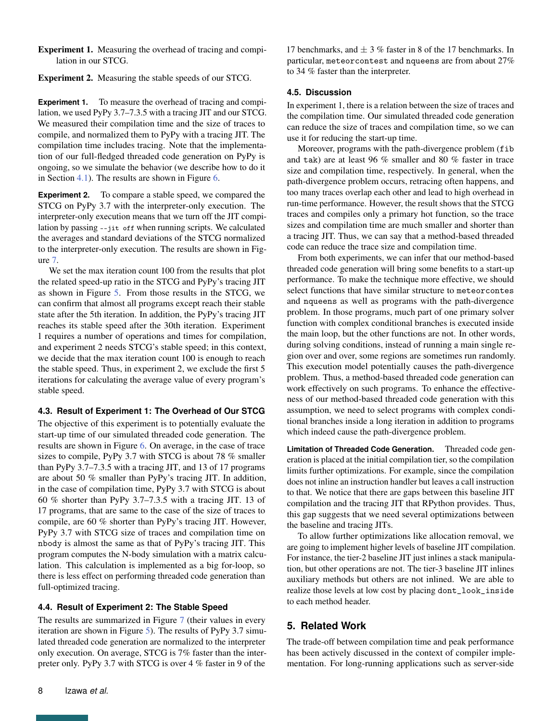Experiment 1. Measuring the overhead of tracing and compilation in our STCG.

Experiment 2. Measuring the stable speeds of our STCG.

**Experiment 1.** To measure the overhead of tracing and compilation, we used PyPy 3.7–7.3.5 with a tracing JIT and our STCG. We measured their compilation time and the size of traces to compile, and normalized them to PyPy with a tracing JIT. The compilation time includes tracing. Note that the implementation of our full-fledged threaded code generation on PyPy is ongoing, so we simulate the behavior (we describe how to do it in Section [4.1\)](#page-6-1). The results are shown in Figure [6.](#page-8-0)

**Experiment 2.** To compare a stable speed, we compared the STCG on PyPy 3.7 with the interpreter-only execution. The interpreter-only execution means that we turn off the JIT compilation by passing --jit off when running scripts. We calculated the averages and standard deviations of the STCG normalized to the interpreter-only execution. The results are shown in Figure [7.](#page-8-1)

We set the max iteration count 100 from the results that plot the related speed-up ratio in the STCG and PyPy's tracing JIT as shown in Figure [5.](#page-6-2) From those results in the STCG, we can confirm that almost all programs except reach their stable state after the 5th iteration. In addition, the PyPy's tracing JIT reaches its stable speed after the 30th iteration. Experiment 1 requires a number of operations and times for compilation, and experiment 2 needs STCG's stable speed; in this context, we decide that the max iteration count 100 is enough to reach the stable speed. Thus, in experiment 2, we exclude the first 5 iterations for calculating the average value of every program's stable speed.

## **4.3. Result of Experiment 1: The Overhead of Our STCG**

The objective of this experiment is to potentially evaluate the start-up time of our simulated threaded code generation. The results are shown in Figure [6.](#page-8-0) On average, in the case of trace sizes to compile, PyPy 3.7 with STCG is about 78 % smaller than PyPy 3.7–7.3.5 with a tracing JIT, and 13 of 17 programs are about 50 % smaller than PyPy's tracing JIT. In addition, in the case of compilation time, PyPy 3.7 with STCG is about 60 % shorter than PyPy 3.7–7.3.5 with a tracing JIT. 13 of 17 programs, that are same to the case of the size of traces to compile, are 60 % shorter than PyPy's tracing JIT. However, PyPy 3.7 with STCG size of traces and compilation time on nbody is almost the same as that of PyPy's tracing JIT. This program computes the N-body simulation with a matrix calculation. This calculation is implemented as a big for-loop, so there is less effect on performing threaded code generation than full-optimized tracing.

## **4.4. Result of Experiment 2: The Stable Speed**

The results are summarized in Figure [7](#page-8-1) (their values in every iteration are shown in Figure [5\)](#page-6-2). The results of PyPy 3.7 simulated threaded code generation are normalized to the interpreter only execution. On average, STCG is 7% faster than the interpreter only. PyPy 3.7 with STCG is over 4 % faster in 9 of the

17 benchmarks, and  $\pm$  3 % faster in 8 of the 17 benchmarks. In particular, meteorcontest and nqueens are from about 27% to 34 % faster than the interpreter.

#### **4.5. Discussion**

In experiment 1, there is a relation between the size of traces and the compilation time. Our simulated threaded code generation can reduce the size of traces and compilation time, so we can use it for reducing the start-up time.

Moreover, programs with the path-divergence problem (fib and tak) are at least 96 % smaller and 80 % faster in trace size and compilation time, respectively. In general, when the path-divergence problem occurs, retracing often happens, and too many traces overlap each other and lead to high overhead in run-time performance. However, the result shows that the STCG traces and compiles only a primary hot function, so the trace sizes and compilation time are much smaller and shorter than a tracing JIT. Thus, we can say that a method-based threaded code can reduce the trace size and compilation time.

From both experiments, we can infer that our method-based threaded code generation will bring some benefits to a start-up performance. To make the technique more effective, we should select functions that have similar structure to meteorcontes and nqueens as well as programs with the path-divergence problem. In those programs, much part of one primary solver function with complex conditional branches is executed inside the main loop, but the other functions are not. In other words, during solving conditions, instead of running a main single region over and over, some regions are sometimes run randomly. This execution model potentially causes the path-divergence problem. Thus, a method-based threaded code generation can work effectively on such programs. To enhance the effectiveness of our method-based threaded code generation with this assumption, we need to select programs with complex conditional branches inside a long iteration in addition to programs which indeed cause the path-divergence problem.

**Limitation of Threaded Code Generation.** Threaded code generation is placed at the initial compilation tier, so the compilation limits further optimizations. For example, since the compilation does not inline an instruction handler but leaves a call instruction to that. We notice that there are gaps between this baseline JIT compilation and the tracing JIT that RPython provides. Thus, this gap suggests that we need several optimizations between the baseline and tracing JITs.

To allow further optimizations like allocation removal, we are going to implement higher levels of baseline JIT compilation. For instance, the tier-2 baseline JIT just inlines a stack manipulation, but other operations are not. The tier-3 baseline JIT inlines auxiliary methods but others are not inlined. We are able to realize those levels at low cost by placing dont\_look\_inside to each method header.

# <span id="page-7-0"></span>**5. Related Work**

The trade-off between compilation time and peak performance has been actively discussed in the context of compiler implementation. For long-running applications such as server-side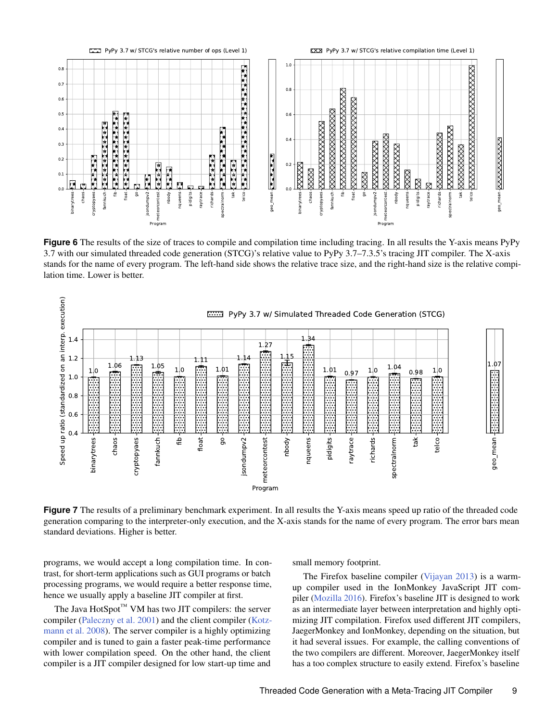<span id="page-8-0"></span>

**Figure 6** The results of the size of traces to compile and compilation time including tracing. In all results the Y-axis means PyPy 3.7 with our simulated threaded code generation (STCG)'s relative value to PyPy 3.7–7.3.5's tracing JIT compiler. The X-axis stands for the name of every program. The left-hand side shows the relative trace size, and the right-hand size is the relative compilation time. Lower is better.

<span id="page-8-1"></span>

**Figure 7** The results of a preliminary benchmark experiment. In all results the Y-axis means speed up ratio of the threaded code generation comparing to the interpreter-only execution, and the X-axis stands for the name of every program. The error bars mean standard deviations. Higher is better.

programs, we would accept a long compilation time. In contrast, for short-term applications such as GUI programs or batch processing programs, we would require a better response time, hence we usually apply a baseline JIT compiler at first.

The Java  $HotSpot^{TM} VM$  has two JIT compilers: the server compiler [\(Paleczny et al.](#page-10-6) [2001\)](#page-10-6) and the client compiler [\(Kotz](#page-10-7)[mann et al.](#page-10-7) [2008\)](#page-10-7). The server compiler is a highly optimizing compiler and is tuned to gain a faster peak-time performance with lower compilation speed. On the other hand, the client compiler is a JIT compiler designed for low start-up time and

small memory footprint.

The Firefox baseline compiler [\(Vijayan](#page-10-8) [2013\)](#page-10-8) is a warmup compiler used in the IonMonkey JavaScript JIT compiler [\(Mozilla](#page-10-9) [2016\)](#page-10-9). Firefox's baseline JIT is designed to work as an intermediate layer between interpretation and highly optimizing JIT compilation. Firefox used different JIT compilers, JaegerMonkey and IonMonkey, depending on the situation, but it had several issues. For example, the calling conventions of the two compilers are different. Moreover, JaegerMonkey itself has a too complex structure to easily extend. Firefox's baseline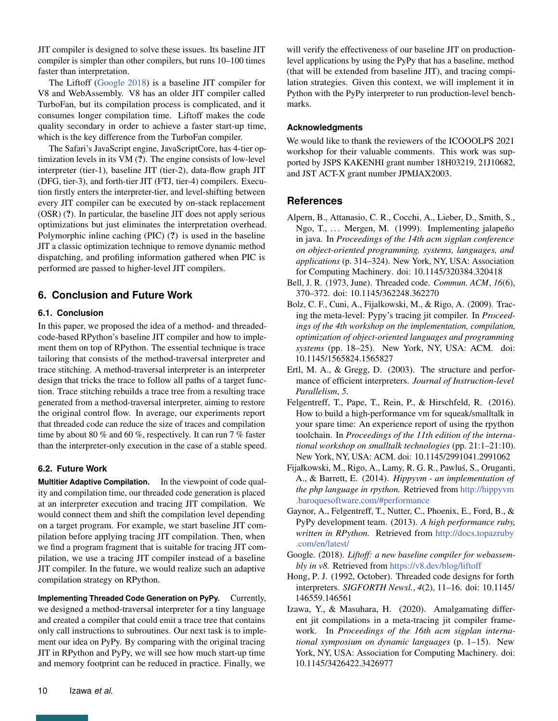JIT compiler is designed to solve these issues. Its baseline JIT compiler is simpler than other compilers, but runs 10–100 times faster than interpretation.

The Liftoff [\(Google](#page-9-10) [2018\)](#page-9-10) is a baseline JIT compiler for V8 and WebAssembly. V8 has an older JIT compiler called TurboFan, but its compilation process is complicated, and it consumes longer compilation time. Liftoff makes the code quality secondary in order to achieve a faster start-up time, which is the key difference from the TurboFan compiler.

The Safari's JavaScript engine, JavaScriptCore, has 4-tier optimization levels in its VM (?). The engine consists of low-level interpreter (tier-1), baseline JIT (tier-2), data-flow graph JIT (DFG, tier-3), and forth-tier JIT (FTJ, tier-4) compilers. Execution firstly enters the interpreter-tier, and level-shifting between every JIT compiler can be executed by on-stack replacement (OSR) (?). In particular, the baseline JIT does not apply serious optimizations but just eliminates the interpretation overhead. Polymorphic inline caching (PIC) (?) is used in the baseline JIT a classic optimization technique to remove dynamic method dispatching, and profiling information gathered when PIC is performed are passed to higher-level JIT compilers.

# <span id="page-9-5"></span>**6. Conclusion and Future Work**

## **6.1. Conclusion**

In this paper, we proposed the idea of a method- and threadedcode-based RPython's baseline JIT compiler and how to implement them on top of RPython. The essential technique is trace tailoring that consists of the method-traversal interpreter and trace stitching. A method-traversal interpreter is an interpreter design that tricks the trace to follow all paths of a target function. Trace stitching rebuilds a trace tree from a resulting trace generated from a method-traversal interpreter, aiming to restore the original control flow. In average, our experiments report that threaded code can reduce the size of traces and compilation time by about 80 % and 60 %, respectively. It can run 7 % faster than the interpreter-only execution in the case of a stable speed.

# **6.2. Future Work**

**Multitier Adaptive Compilation.** In the viewpoint of code quality and compilation time, our threaded code generation is placed at an interpreter execution and tracing JIT compilation. We would connect them and shift the compilation level depending on a target program. For example, we start baseline JIT compilation before applying tracing JIT compilation. Then, when we find a program fragment that is suitable for tracing JIT compilation, we use a tracing JIT compiler instead of a baseline JIT compiler. In the future, we would realize such an adaptive compilation strategy on RPython.

**Implementing Threaded Code Generation on PyPy.** Currently, we designed a method-traversal interpreter for a tiny language and created a compiler that could emit a trace tree that contains only call instructions to subroutines. Our next task is to implement our idea on PyPy. By comparing with the original tracing JIT in RPython and PyPy, we will see how much start-up time and memory footprint can be reduced in practice. Finally, we

will verify the effectiveness of our baseline JIT on productionlevel applications by using the PyPy that has a baseline, method (that will be extended from baseline JIT), and tracing compilation strategies. Given this context, we will implement it in Python with the PyPy interpreter to run production-level benchmarks.

## **Acknowledgments**

We would like to thank the reviewers of the ICOOOLPS 2021 workshop for their valuable comments. This work was supported by JSPS KAKENHI grant number 18H03219, 21J10682, and JST ACT-X grant number JPMJAX2003.

# **References**

- <span id="page-9-3"></span>Alpern, B., Attanasio, C. R., Cocchi, A., Lieber, D., Smith, S., Ngo, T., ... Mergen, M. (1999). Implementing jalapeño in java. In *Proceedings of the 14th acm sigplan conference on object-oriented programming, systems, languages, and applications* (p. 314–324). New York, NY, USA: Association for Computing Machinery. doi: 10.1145/320384.320418
- <span id="page-9-7"></span>Bell, J. R. (1973, June). Threaded code. *Commun. ACM*, *16*(6), 370–372. doi: 10.1145/362248.362270
- <span id="page-9-0"></span>Bolz, C. F., Cuni, A., Fijalkowski, M., & Rigo, A. (2009). Tracing the meta-level: Pypy's tracing jit compiler. In *Proceedings of the 4th workshop on the implementation, compilation, optimization of object-oriented languages and programming systems* (pp. 18–25). New York, NY, USA: ACM. doi: 10.1145/1565824.1565827
- <span id="page-9-9"></span>Ertl, M. A., & Gregg, D. (2003). The structure and performance of efficient interpreters. *Journal of Instruction-level Parallelism*, *5*.
- <span id="page-9-2"></span>Felgentreff, T., Pape, T., Rein, P., & Hirschfeld, R. (2016). How to build a high-performance vm for squeak/smalltalk in your spare time: An experience report of using the rpython toolchain. In *Proceedings of the 11th edition of the international workshop on smalltalk technologies* (pp. 21:1–21:10). New York, NY, USA: ACM. doi: 10.1145/2991041.2991062
- <span id="page-9-6"></span>Fijałkowski, M., Rigo, A., Lamy, R. G. R., Pawlus, S., Oruganti, ´ A., & Barrett, E. (2014). *Hippyvm - an implementation of the php language in rpython.* Retrieved from [http://hippyvm](http://hippyvm.baroquesoftware.com/#performance) [.baroquesoftware.com/#performance](http://hippyvm.baroquesoftware.com/#performance)
- <span id="page-9-1"></span>Gaynor, A., Felgentreff, T., Nutter, C., Phoenix, E., Ford, B., & PyPy development team. (2013). *A high performance ruby, written in RPython.* Retrieved from [http://docs.topazruby](http://docs.topazruby.com/en/latest/) [.com/en/latest/](http://docs.topazruby.com/en/latest/)
- <span id="page-9-10"></span>Google. (2018). *Liftoff: a new baseline compiler for webassembly in v8.* Retrieved from <https://v8.dev/blog/liftoff>
- <span id="page-9-8"></span>Hong, P. J. (1992, October). Threaded code designs for forth interpreters. *SIGFORTH Newsl.*, *4*(2), 11–16. doi: 10.1145/ 146559.146561
- <span id="page-9-4"></span>Izawa, Y., & Masuhara, H. (2020). Amalgamating different jit compilations in a meta-tracing jit compiler framework. In *Proceedings of the 16th acm sigplan international symposium on dynamic languages* (p. 1–15). New York, NY, USA: Association for Computing Machinery. doi: 10.1145/3426422.3426977